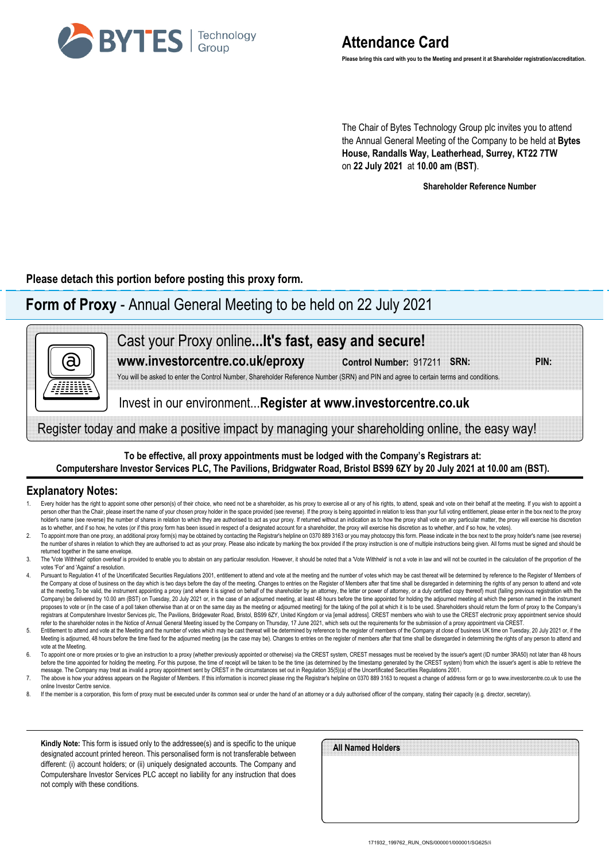

The Chair of Bytes Technology Group plc invites you to attend the Annual General Meeting of the Company to be held at **Bytes House, Randalls Way, Leatherhead, Surrey, KT22 7TW** on **22 July 2021** at **10.00 am (BST)**.

**Shareholder Reference Number**

**Please detach this portion before posting this proxy form.**

# **Form of Proxy** - Annual General Meeting to be held on 22 July 2021



Register today and make a positive impact by managing your shareholding online, the easy way!

### **To be effective, all proxy appointments must be lodged with the Company's Registrars at: Computershare Investor Services PLC, The Pavilions, Bridgwater Road, Bristol BS99 6ZY by 20 July 2021 at 10.00 am (BST).**

## **Explanatory Notes:**

- Every holder has the right to appoint some other person(s) of their choice, who need not be a shareholder, as his proxy to exercise all or any of his rights, to attend, speak and vote on their behalf at the meeting. If you person other than the Chair, please insert the name of your chosen proxy holder in the space provided (see reverse). If the proxy is being appointed in relation to less than your full voting entitlement, please enter in th holder's name (see reverse) the number of shares in relation to which they are authorised to act as your proxy. If returned without an indication as to how the proxy shall vote on any particular matter, the proxy will exer as to whether, and if so how, he votes (or if this proxy form has been issued in respect of a designated account for a shareholder, the proxy will exercise his discretion as to whether, and if so how, he votes).
- To appoint more than one proxy, an additional proxy form(s) may be obtained by contacting the Registra's helpline on 0370 889 3163 or you may photocopy this form. Please indicate in the box next to the proxy holder's name the number of shares in relation to which they are authorised to act as your proxy. Please also indicate by marking the box provided if the proxy instruction is one of multiple instructions being given. All forms must be s returned together in the same envelope.
- The "Vote Withheld' option overleaf is provided to enable you to abstain on any particular resolution. However, it should be noted that a "Vote Withheld' is not a vote in law and will not be counted in the calculation of t votes 'For' and 'Against' a resolution.
- 4. Pursuant to Regulation 41 of the Uncertificated Securities Regulations 2001, entitlement to attend and yote at the meeting and the number of votes which may be cast thereat will be determined by reference to the Registe the Company at close of business on the day which is two days before the day of the meeting. Changes to entries on the Register of Members after that time shall be disregarded in determining the rights of any person to att at the meeting. To be valid, the instrument appointing a proxy (and where it is signed on behalf of the shareholder by an attorney, the letter or power of attorney, or a duly certified copy thereof) must (failing previous Company) be delivered by 10.00 am (BST) on Tuesday, 20 July 2021 or, in the case of an adjourned meeting, at least 48 hours before the time appointed for holding the adjourned meeting at which the person named in the instr proposes to vote or (in the case of a poll taken otherwise than at or on the same day as the meeting or adjourned meeting) for the taking of the poll at which it is to be used. Shareholders should return the form of proxy registrars at Computershare Investor Services plc. The Pavilions. Bridgewater Road, Bristol. BS99 6ZY. United Kingdom or via femail addressl. CREST members who wish to use the CREST electronic proxy appointment service sho refer to the shareholder notes in the Notice of Annual General Meeting issued by the Company on Thursday, 17 June 2021, which sets out the requirements for the submission of a proxy appointment via CREST.
- Entitlement to attend and vote at the Meeting and the number of votes which may be cast thereat will be determined by reference to the register of members of the Company at close of business UK time on Tuesday, 20 July 202 Meeting is adjourned, 48 hours before the time fixed for the adjourned meeting (as the case may be). Changes to entries on the register of members after that time shall be disregarded in determining the rights of any perso vote at the Meeting.
- 6. To appoint one or more proxies or to give an instruction to a proxy (whether previously appointed or otherwise) via the CREST system, CREST messages must be received by the issuer's agent (ID number 3RA50) not later tha before the time appointed for holding the meeting. For this purpose, the time of receipt will be taken to be the time (as determined by the timestamp generated by the CREST system) from which the issuer's agent is able to message. The Company may treat as invalid a proxy appointment sent by CREST in the circumstances set out in Regulation 35(5)(a) of the Uncertificated Securities Regulations 2001.
- 7. The above is how your address appears on the Register of Members. If this information is incorrect please ring the Registrar's helpline on 0370 889 3163 to request a change of address form or go to www.investorcentre.co online Investor Centre service.
- 8. If the member is a corporation, this form of proxy must be executed under its common seal or under the hand of an attorney or a duly authorised officer of the company, stating their capacity (e.g. director, secretary).

**Kindly Note:** This form is issued only to the addressee(s) and is specific to the unique designated account printed hereon. This personalised form is not transferable between different: (i) account holders; or (ii) uniquely designated accounts. The Company and Computershare Investor Services PLC accept no liability for any instruction that does not comply with these conditions.

| All Named Holders |  |  |
|-------------------|--|--|
|                   |  |  |
|                   |  |  |
|                   |  |  |